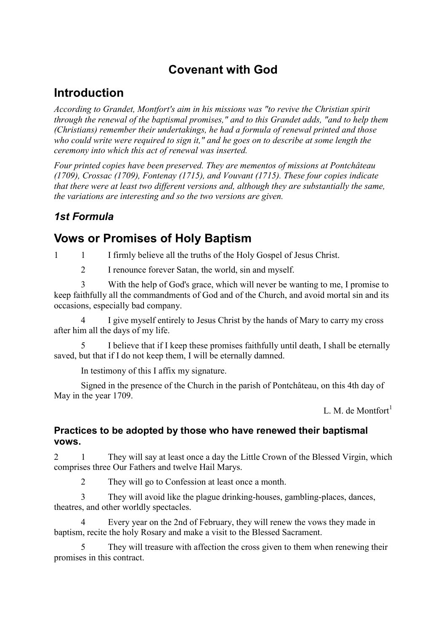# **Covenant with God**

# **Introduction**

*According to Grandet, Montfort's aim in his missions was "to revive the Christian spirit through the renewal of the baptismal promises," and to this Grandet adds, "and to help them (Christians) remember their undertakings, he had a formula of renewal printed and those who could write were required to sign it," and he goes on to describe at some length the ceremony into which this act of renewal was inserted.* 

*Four printed copies have been preserved. They are mementos of missions at Pontchâteau (1709), Crossac (1709), Fontenay (1715), and Vouvant (1715). These four copies indicate that there were at least two different versions and, although they are substantially the same, the variations are interesting and so the two versions are given.* 

### *1st Formula*

# **Vows or Promises of Holy Baptism**

1 1 I firmly believe all the truths of the Holy Gospel of Jesus Christ.

2 I renounce forever Satan, the world, sin and myself.

3 With the help of God's grace, which will never be wanting to me, I promise to keep faithfully all the commandments of God and of the Church, and avoid mortal sin and its occasions, especially bad company.

4 I give myself entirely to Jesus Christ by the hands of Mary to carry my cross after him all the days of my life.

5 I believe that if I keep these promises faithfully until death, I shall be eternally saved, but that if I do not keep them, I will be eternally damned.

In testimony of this I affix my signature.

Signed in the presence of the Church in the parish of Pontchâteau, on this 4th day of May in the year 1709.

L. M. de Montfort $<sup>1</sup>$ </sup>

#### **Practices to be adopted by those who have renewed their baptismal vows.**

2 1 They will say at least once a day the Little Crown of the Blessed Virgin, which comprises three Our Fathers and twelve Hail Marys.

2 They will go to Confession at least once a month.

3 They will avoid like the plague drinking-houses, gambling-places, dances, theatres, and other worldly spectacles.

4 Every year on the 2nd of February, they will renew the vows they made in baptism, recite the holy Rosary and make a visit to the Blessed Sacrament.

They will treasure with affection the cross given to them when renewing their promises in this contract.